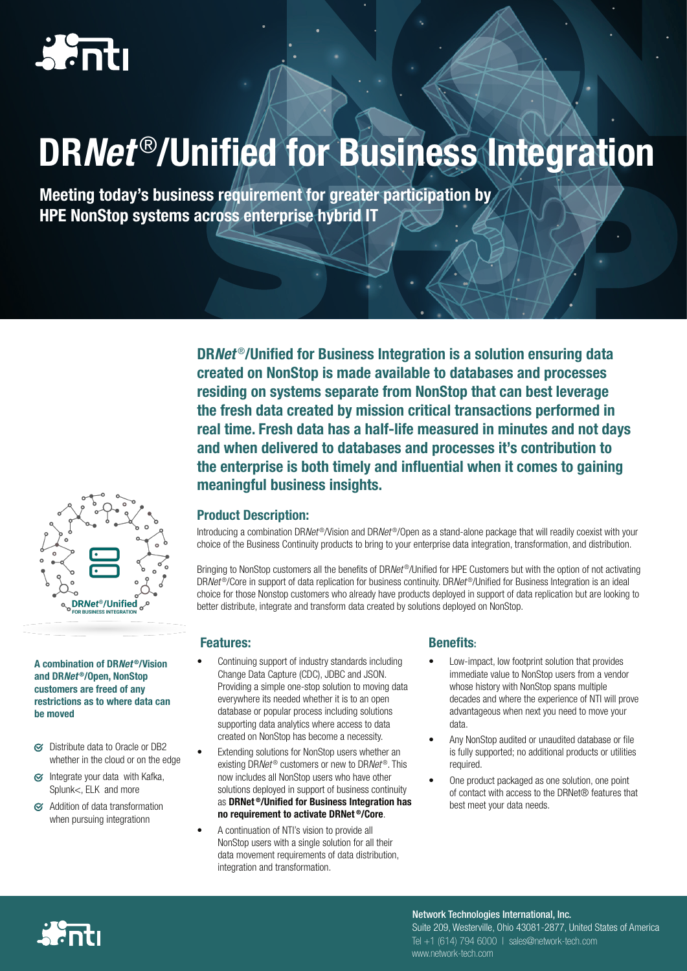# DR*Net* ®/Unified for Business Integration

Meeting today's business requirement for greater participation by HPE NonStop systems across enterprise hybrid IT

> DR*Net* ®/Unified for Business Integration is a solution ensuring data created on NonStop is made available to databases and processes residing on systems separate from NonStop that can best leverage the fresh data created by mission critical transactions performed in real time. Fresh data has a half-life measured in minutes and not days and when delivered to databases and processes it's contribution to the enterprise is both timely and influential when it comes to gaining meaningful business insights.

### Product Description:

Introducing a combination DR*Net* ®/Vision and DR*Net* ®/Open as a stand-alone package that will readily coexist with your choice of the Business Continuity products to bring to your enterprise data integration, transformation, and distribution.

Bringing to NonStop customers all the benefits of DR*Net* ®/Unified for HPE Customers but with the option of not activating DR*Net* ®/Core in support of data replication for business continuity. DR*Net* ®/Unified for Business Integration is an ideal choice for those Nonstop customers who already have products deployed in support of data replication but are looking to better distribute, integrate and transform data created by solutions deployed on NonStop.

#### **Features:** Benefits:

- Continuing support of industry standards including Change Data Capture (CDC), JDBC and JSON. Providing a simple one-stop solution to moving data everywhere its needed whether it is to an open database or popular process including solutions supporting data analytics where access to data created on NonStop has become a necessity.
- Extending solutions for NonStop users whether an existing DR*Net* ® customers or new to DR*Net* ®. This now includes all NonStop users who have other solutions deployed in support of business continuity as DRNet ®/Unified for Business Integration has no requirement to activate DRNet ®/Core.
- A continuation of NTI's vision to provide all NonStop users with a single solution for all their data movement requirements of data distribution, integration and transformation.

- Low-impact, low footprint solution that provides immediate value to NonStop users from a vendor whose history with NonStop spans multiple decades and where the experience of NTI will prove advantageous when next you need to move your data.
- Any NonStop audited or unaudited database or file is fully supported; no additional products or utilities required.
- One product packaged as one solution, one point of contact with access to the DRNet® features that best meet your data needs.

Suite 209, Westerville, Ohio 43081-2877, United States of America Tel +1 (614) 794 6000 | sales@network-tech.com www.network-tech.com Network Technologies International, Inc.



A combination of DR*Net* ®/Vision and DR*Net* ®/Open, NonStop customers are freed of any restrictions as to where data can be moved

- G Distribute data to Oracle or DB2 whether in the cloud or on the edge
- Integrate your data with Kafka,  $\alpha$ Splunk<, ELK and more
- Addition of data transformation when pursuing integrationn